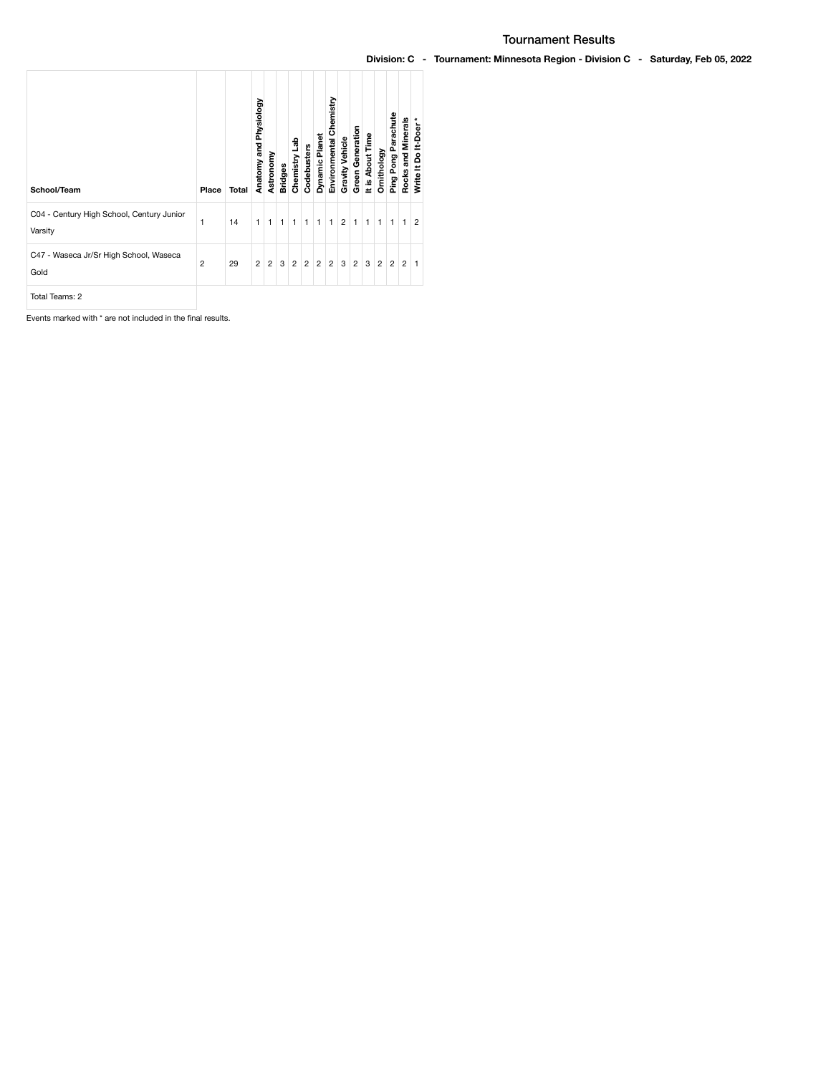## Tournament Results

## Division: C - Tournament: Minnesota Region - Division C - Saturday, Feb 05, 2022

| School/Team                                          | Place          | Total | Anatomy and Physiology | Astronomy      | <b>Bridges</b> | dab<br>Chemistry | Codebusters    | <b>Dynamic Planet</b> | Chemistry<br>Environmental | Gravity Vehicle | <b>Green Generation</b> | It is About Time | Ornithology    | Ping Pong Parachute | Rocks and Minerals | Write It Do It-Doer* |
|------------------------------------------------------|----------------|-------|------------------------|----------------|----------------|------------------|----------------|-----------------------|----------------------------|-----------------|-------------------------|------------------|----------------|---------------------|--------------------|----------------------|
| C04 - Century High School, Century Junior<br>Varsity | 1              | 14    | 1                      | $\mathbf{1}$   | $\mathbf{1}$   | 1                | 1              | 1                     | $\mathbf{1}$               | $\overline{2}$  | $\mathbf{1}$            | $\mathbf{1}$     | 1              | $\mathbf{1}$        | $\mathbf{1}$       | $\overline{2}$       |
| C47 - Waseca Jr/Sr High School, Waseca<br>Gold       | $\overline{2}$ | 29    | $\overline{2}$         | $\overline{2}$ | 3              | $\overline{2}$   | $\overline{2}$ | $\overline{2}$        | $\overline{2}$             | 3               | $\overline{2}$          | 3                | $\overline{2}$ | $\overline{2}$      | $\overline{2}$     | 1.                   |
| Total Teams: 2                                       |                |       |                        |                |                |                  |                |                       |                            |                 |                         |                  |                |                     |                    |                      |

Events marked with \* are not included in the final results.